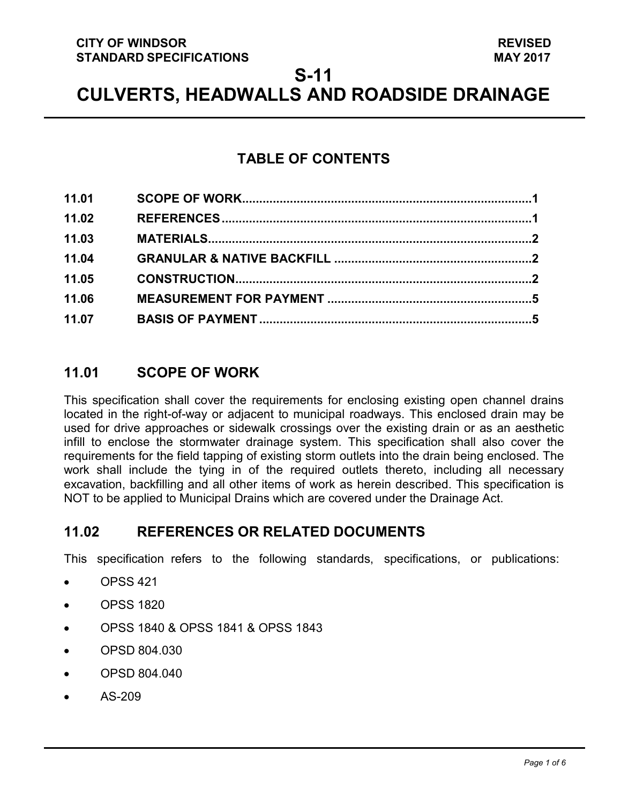### **CITY OF WINDSOR STANDARD SPECIFICATIONS**

# **S-11**

# **CULVERTS, HEADWALLS AND ROADSIDE DRAINAGE**

# **TABLE OF CONTENTS**

| 11.01 |  |
|-------|--|
| 11.02 |  |
| 11.03 |  |
| 11.04 |  |
| 11.05 |  |
| 11.06 |  |
| 11.07 |  |

# <span id="page-0-0"></span>**11.01 SCOPE OF WORK**

This specification shall cover the requirements for enclosing existing open channel drains located in the right-of-way or adjacent to municipal roadways. This enclosed drain may be used for drive approaches or sidewalk crossings over the existing drain or as an aesthetic infill to enclose the stormwater drainage system. This specification shall also cover the requirements for the field tapping of existing storm outlets into the drain being enclosed. The work shall include the tying in of the required outlets thereto, including all necessary excavation, backfilling and all other items of work as herein described. This specification is NOT to be applied to Municipal Drains which are covered under the Drainage Act.

## <span id="page-0-1"></span>**11.02 REFERENCES OR RELATED DOCUMENTS**

This specification refers to the following standards, specifications, or publications:

- OPSS 421
- OPSS 1820
- OPSS 1840 & OPSS 1841 & OPSS 1843
- OPSD 804.030
- OPSD 804.040
- AS-209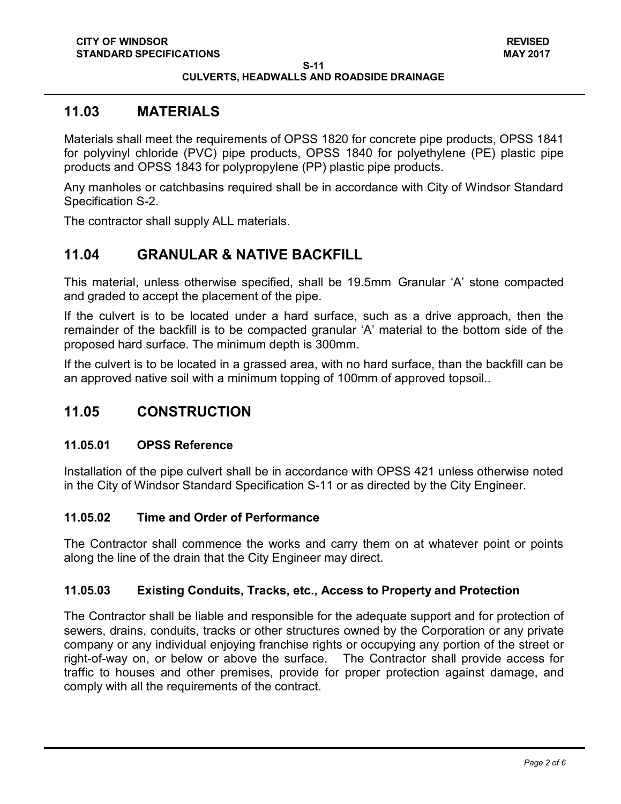#### **CULVERTS, HEADWALLS AND ROADSIDE DRAINAGE**

### <span id="page-1-0"></span>**11.03 MATERIALS**

Materials shall meet the requirements of OPSS 1820 for concrete pipe products, OPSS 1841 for polyvinyl chloride (PVC) pipe products, OPSS 1840 for polyethylene (PE) plastic pipe products and OPSS 1843 for polypropylene (PP) plastic pipe products.

Any manholes or catchbasins required shall be in accordance with City of Windsor Standard Specification S-2.

The contractor shall supply ALL materials.

## <span id="page-1-1"></span>**11.04 GRANULAR & NATIVE BACKFILL**

This material, unless otherwise specified, shall be 19.5mm Granular 'A' stone compacted and graded to accept the placement of the pipe.

If the culvert is to be located under a hard surface, such as a drive approach, then the remainder of the backfill is to be compacted granular 'A' material to the bottom side of the proposed hard surface. The minimum depth is 300mm.

If the culvert is to be located in a grassed area, with no hard surface, than the backfill can be an approved native soil with a minimum topping of 100mm of approved topsoil..

## <span id="page-1-2"></span>**11.05 CONSTRUCTION**

### **11.05.01 OPSS Reference**

Installation of the pipe culvert shall be in accordance with OPSS 421 unless otherwise noted in the City of Windsor Standard Specification S-11 or as directed by the City Engineer.

### **11.05.02 Time and Order of Performance**

The Contractor shall commence the works and carry them on at whatever point or points along the line of the drain that the City Engineer may direct.

### **11.05.03 Existing Conduits, Tracks, etc., Access to Property and Protection**

The Contractor shall be liable and responsible for the adequate support and for protection of sewers, drains, conduits, tracks or other structures owned by the Corporation or any private company or any individual enjoying franchise rights or occupying any portion of the street or right-of-way on, or below or above the surface. The Contractor shall provide access for traffic to houses and other premises, provide for proper protection against damage, and comply with all the requirements of the contract.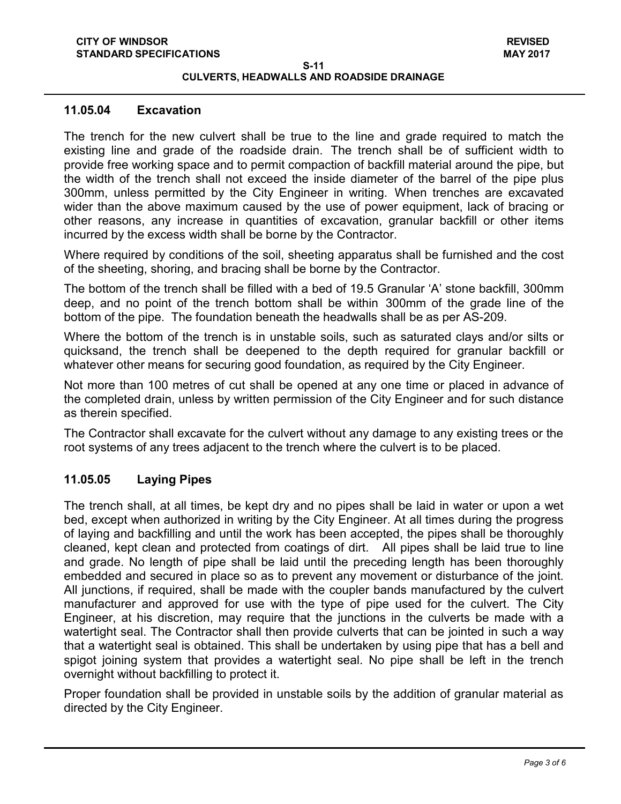#### **CULVERTS, HEADWALLS AND ROADSIDE DRAINAGE**

#### **11.05.04 Excavation**

The trench for the new culvert shall be true to the line and grade required to match the existing line and grade of the roadside drain. The trench shall be of sufficient width to provide free working space and to permit compaction of backfill material around the pipe, but the width of the trench shall not exceed the inside diameter of the barrel of the pipe plus 300mm, unless permitted by the City Engineer in writing. When trenches are excavated wider than the above maximum caused by the use of power equipment, lack of bracing or other reasons, any increase in quantities of excavation, granular backfill or other items incurred by the excess width shall be borne by the Contractor.

Where required by conditions of the soil, sheeting apparatus shall be furnished and the cost of the sheeting, shoring, and bracing shall be borne by the Contractor.

The bottom of the trench shall be filled with a bed of 19.5 Granular 'A' stone backfill, 300mm deep, and no point of the trench bottom shall be within 300mm of the grade line of the bottom of the pipe. The foundation beneath the headwalls shall be as per AS-209.

Where the bottom of the trench is in unstable soils, such as saturated clays and/or silts or quicksand, the trench shall be deepened to the depth required for granular backfill or whatever other means for securing good foundation, as required by the City Engineer.

Not more than 100 metres of cut shall be opened at any one time or placed in advance of the completed drain, unless by written permission of the City Engineer and for such distance as therein specified.

The Contractor shall excavate for the culvert without any damage to any existing trees or the root systems of any trees adjacent to the trench where the culvert is to be placed.

#### **11.05.05 Laying Pipes**

The trench shall, at all times, be kept dry and no pipes shall be laid in water or upon a wet bed, except when authorized in writing by the City Engineer. At all times during the progress of laying and backfilling and until the work has been accepted, the pipes shall be thoroughly cleaned, kept clean and protected from coatings of dirt. All pipes shall be laid true to line and grade. No length of pipe shall be laid until the preceding length has been thoroughly embedded and secured in place so as to prevent any movement or disturbance of the joint. All junctions, if required, shall be made with the coupler bands manufactured by the culvert manufacturer and approved for use with the type of pipe used for the culvert. The City Engineer, at his discretion, may require that the junctions in the culverts be made with a watertight seal. The Contractor shall then provide culverts that can be jointed in such a way that a watertight seal is obtained. This shall be undertaken by using pipe that has a bell and spigot joining system that provides a watertight seal. No pipe shall be left in the trench overnight without backfilling to protect it.

Proper foundation shall be provided in unstable soils by the addition of granular material as directed by the City Engineer.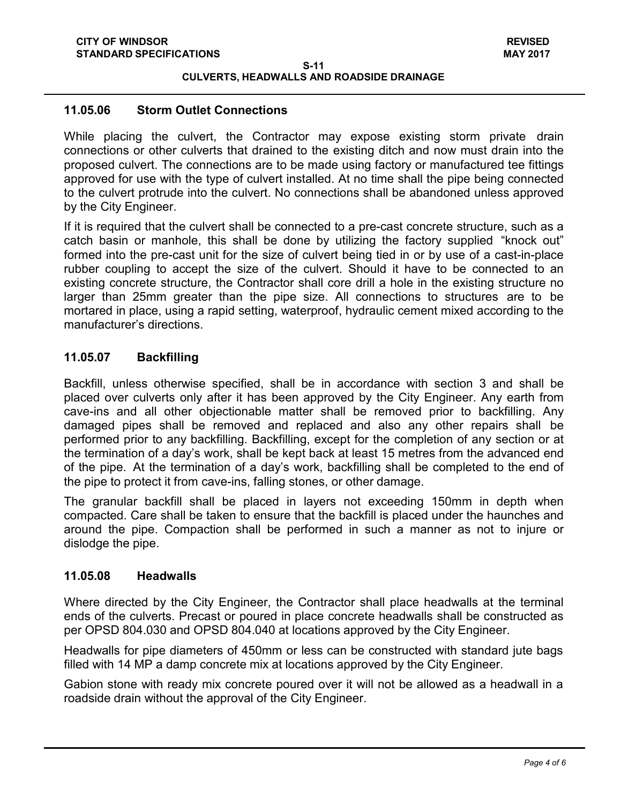**S-11 CULVERTS, HEADWALLS AND ROADSIDE DRAINAGE**

#### **11.05.06 Storm Outlet Connections**

While placing the culvert, the Contractor may expose existing storm private drain connections or other culverts that drained to the existing ditch and now must drain into the proposed culvert. The connections are to be made using factory or manufactured tee fittings approved for use with the type of culvert installed. At no time shall the pipe being connected to the culvert protrude into the culvert. No connections shall be abandoned unless approved by the City Engineer.

If it is required that the culvert shall be connected to a pre-cast concrete structure, such as a catch basin or manhole, this shall be done by utilizing the factory supplied "knock out" formed into the pre-cast unit for the size of culvert being tied in or by use of a cast-in-place rubber coupling to accept the size of the culvert. Should it have to be connected to an existing concrete structure, the Contractor shall core drill a hole in the existing structure no larger than 25mm greater than the pipe size. All connections to structures are to be mortared in place, using a rapid setting, waterproof, hydraulic cement mixed according to the manufacturer's directions.

#### **11.05.07 Backfilling**

Backfill, unless otherwise specified, shall be in accordance with section 3 and shall be placed over culverts only after it has been approved by the City Engineer. Any earth from cave-ins and all other objectionable matter shall be removed prior to backfilling. Any damaged pipes shall be removed and replaced and also any other repairs shall be performed prior to any backfilling. Backfilling, except for the completion of any section or at the termination of a day's work, shall be kept back at least 15 metres from the advanced end of the pipe. At the termination of a day's work, backfilling shall be completed to the end of the pipe to protect it from cave-ins, falling stones, or other damage.

The granular backfill shall be placed in layers not exceeding 150mm in depth when compacted. Care shall be taken to ensure that the backfill is placed under the haunches and around the pipe. Compaction shall be performed in such a manner as not to injure or dislodge the pipe.

#### **11.05.08 Headwalls**

Where directed by the City Engineer, the Contractor shall place headwalls at the terminal ends of the culverts. Precast or poured in place concrete headwalls shall be constructed as per OPSD 804.030 and OPSD 804.040 at locations approved by the City Engineer.

Headwalls for pipe diameters of 450mm or less can be constructed with standard jute bags filled with 14 MP a damp concrete mix at locations approved by the City Engineer.

Gabion stone with ready mix concrete poured over it will not be allowed as a headwall in a roadside drain without the approval of the City Engineer.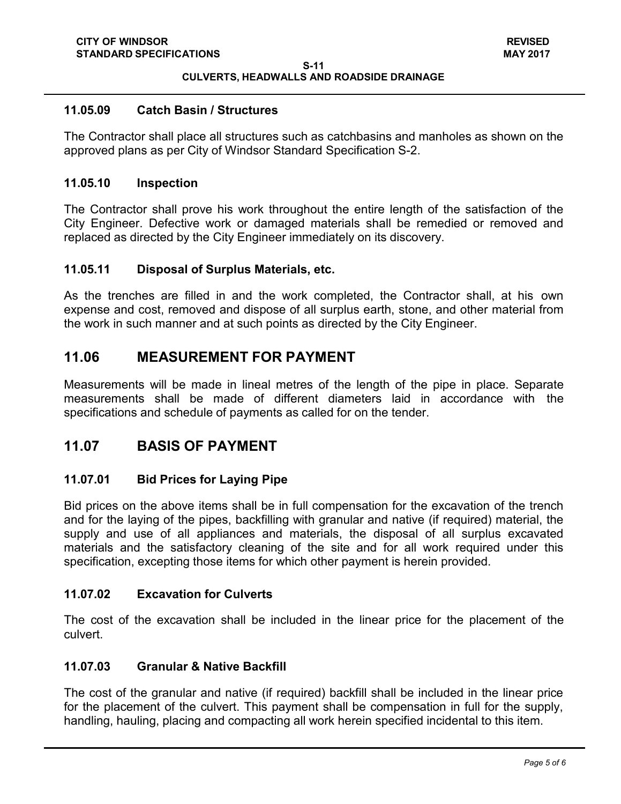#### **S-11 CULVERTS, HEADWALLS AND ROADSIDE DRAINAGE**

#### **11.05.09 Catch Basin / Structures**

The Contractor shall place all structures such as catchbasins and manholes as shown on the approved plans as per City of Windsor Standard Specification S-2.

#### **11.05.10 Inspection**

The Contractor shall prove his work throughout the entire length of the satisfaction of the City Engineer. Defective work or damaged materials shall be remedied or removed and replaced as directed by the City Engineer immediately on its discovery.

#### **11.05.11 Disposal of Surplus Materials, etc.**

As the trenches are filled in and the work completed, the Contractor shall, at his own expense and cost, removed and dispose of all surplus earth, stone, and other material from the work in such manner and at such points as directed by the City Engineer.

### <span id="page-4-0"></span>**11.06 MEASUREMENT FOR PAYMENT**

Measurements will be made in lineal metres of the length of the pipe in place. Separate measurements shall be made of different diameters laid in accordance with the specifications and schedule of payments as called for on the tender.

### <span id="page-4-1"></span>**11.07 BASIS OF PAYMENT**

### **11.07.01 Bid Prices for Laying Pipe**

Bid prices on the above items shall be in full compensation for the excavation of the trench and for the laying of the pipes, backfilling with granular and native (if required) material, the supply and use of all appliances and materials, the disposal of all surplus excavated materials and the satisfactory cleaning of the site and for all work required under this specification, excepting those items for which other payment is herein provided.

### **11.07.02 Excavation for Culverts**

The cost of the excavation shall be included in the linear price for the placement of the culvert.

### **11.07.03 Granular & Native Backfill**

The cost of the granular and native (if required) backfill shall be included in the linear price for the placement of the culvert. This payment shall be compensation in full for the supply, handling, hauling, placing and compacting all work herein specified incidental to this item.